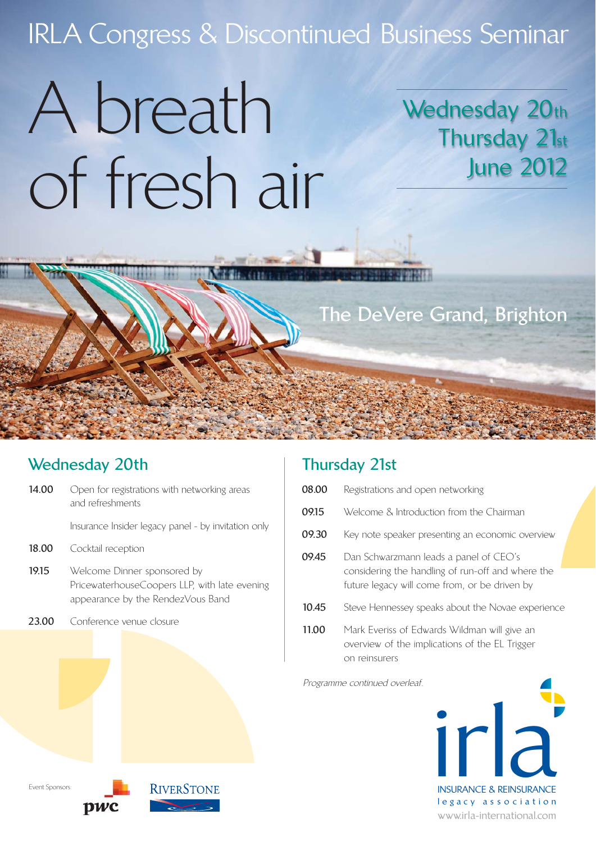# IRLA Congress & Discontinued Business Seminar

# A breath of fresh air

## Wednesday 20th Thursday 21st June 2012

## **The DeVere Grand, Brighton**

### **Wednesday 20th**

- **14.00** Open for registrations with networking areas and refreshments
	- Insurance Insider legacy panel by invitation only
- **18.00** Cocktail reception
- 19.15 Welcome Dinner sponsored by PricewaterhouseCoopers LLP, with late evening appearance by the RendezVous Band
- 23.00 Conference venue closure

### **Thursday 21st**

- **08.00** Registrations and open networking **09.15** Welcome & Introduction from the Chairman **09.30** Key note speaker presenting an economic overview **09.45** Dan Schwarzmann leads a panel of CEO's
- considering the handling of run-off and where the future legacy will come from, or be driven by
- **10.45** Steve Hennessey speaks about the Novae experience
- **11.00** Mark Everiss of Edwards Wildman will give an overview of the implications of the EL Trigger on reinsurers

Programme continued overleaf.